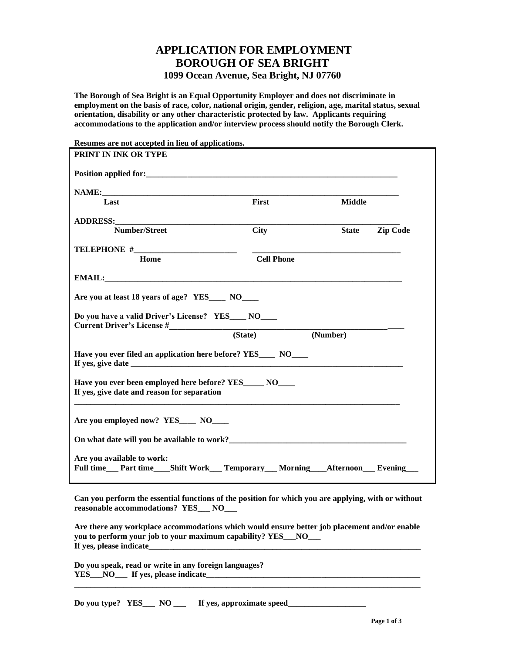## **APPLICATION FOR EMPLOYMENT BOROUGH OF SEA BRIGHT 1099 Ocean Avenue, Sea Bright, NJ 07760**

**The Borough of Sea Bright is an Equal Opportunity Employer and does not discriminate in employment on the basis of race, color, national origin, gender, religion, age, marital status, sexual orientation, disability or any other characteristic protected by law. Applicants requiring accommodations to the application and/or interview process should notify the Borough Clerk.** 

| Resumes are not accepted in lieu of applications.                                                                        |                   |               |                 |
|--------------------------------------------------------------------------------------------------------------------------|-------------------|---------------|-----------------|
| PRINT IN INK OR TYPE                                                                                                     |                   |               |                 |
|                                                                                                                          |                   |               |                 |
|                                                                                                                          |                   |               |                 |
| Last                                                                                                                     | First             | <b>Middle</b> |                 |
|                                                                                                                          |                   |               |                 |
| Number/Street                                                                                                            | <b>City</b>       | <b>State</b>  | <b>Zip Code</b> |
|                                                                                                                          |                   |               |                 |
| Home                                                                                                                     | <b>Cell Phone</b> |               |                 |
|                                                                                                                          |                   |               |                 |
| Are you at least 18 years of age? YES____ NO___                                                                          |                   |               |                 |
| Do you have a valid Driver's License? YES____ NO___                                                                      |                   |               |                 |
|                                                                                                                          | (State)           | (Number)      |                 |
| Have you ever filed an application here before? YES____ NO____                                                           |                   |               |                 |
| Have you ever been employed here before? YES______ NO_____<br>If yes, give date and reason for separation                |                   |               |                 |
| Are you employed now? YES____ NO____                                                                                     |                   |               |                 |
|                                                                                                                          |                   |               |                 |
| Are you available to work:<br>Full time___ Part time____ Shift Work____ Temporary____ Morning_____ Afternoon____ Evening |                   |               |                 |

**Can you perform the essential functions of the position for which you are applying, with or without reasonable accommodations? YES\_\_\_ NO\_\_\_**

**Are there any workplace accommodations which would ensure better job placement and/or enable you to perform your job to your maximum capability? YES\_\_\_NO\_\_\_ If yes, please indicate** 

**\_\_\_\_\_\_\_\_\_\_\_\_\_\_\_\_\_\_\_\_\_\_\_\_\_\_\_\_\_\_\_\_\_\_\_\_\_\_\_\_\_\_\_\_\_\_\_\_\_\_\_\_\_\_\_\_\_\_\_\_\_\_\_\_\_\_\_\_\_\_\_\_\_\_\_\_\_\_\_\_\_\_\_\_**

**Do you speak, read or write in any foreign languages? YES\_\_\_NO\_\_\_ If yes, please indicate\_\_\_\_\_\_\_\_\_\_\_\_\_\_\_\_\_\_\_\_\_\_\_\_\_\_\_\_\_\_\_\_\_\_\_\_\_\_\_\_\_\_\_\_\_\_\_\_\_\_\_\_**

Do you type? YES\_\_\_ NO \_\_\_ If yes, approximate speed\_\_\_\_\_\_\_\_\_\_\_\_\_\_\_\_\_\_\_\_\_\_\_\_\_\_\_\_\_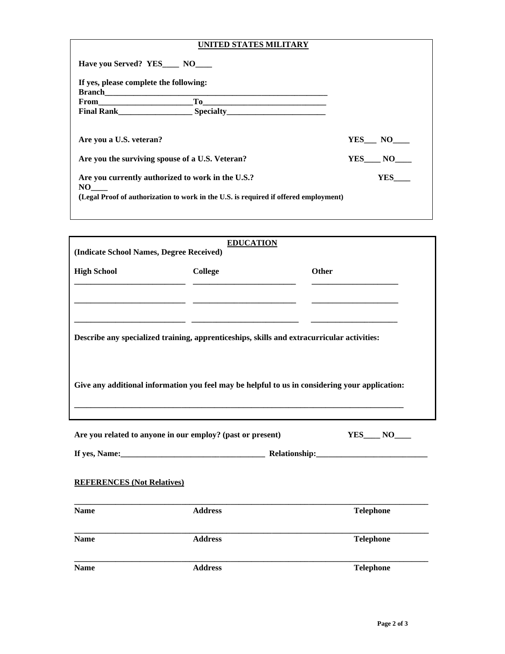| UNITED STATES MILITARY                                                                                                                                                                                                                                                                                                                                                                                                                                        |        |
|---------------------------------------------------------------------------------------------------------------------------------------------------------------------------------------------------------------------------------------------------------------------------------------------------------------------------------------------------------------------------------------------------------------------------------------------------------------|--------|
| Have you Served? YES____ NO___                                                                                                                                                                                                                                                                                                                                                                                                                                |        |
| If yes, please complete the following:                                                                                                                                                                                                                                                                                                                                                                                                                        |        |
|                                                                                                                                                                                                                                                                                                                                                                                                                                                               |        |
| $\begin{tabular}{ c c c c } \hline \multicolumn{3}{ c }{\textbf{To}} & \multicolumn{3}{ c }{\textbf{To}}\\ \hline \multicolumn{3}{ c }{\textbf{To}} & \multicolumn{3}{ c }{\textbf{To}}\\ \hline \multicolumn{3}{ c }{\textbf{To}} & \multicolumn{3}{ c }{\textbf{To}}\\ \hline \multicolumn{3}{ c }{\textbf{To}} & \multicolumn{3}{ c }{\textbf{To}}\\ \hline \multicolumn{3}{ c }{\textbf{To}} & \multicolumn{3}{ c }{\textbf{To}}\\ \hline \multicolumn{3$ |        |
|                                                                                                                                                                                                                                                                                                                                                                                                                                                               |        |
|                                                                                                                                                                                                                                                                                                                                                                                                                                                               |        |
| Are you a U.S. veteran?                                                                                                                                                                                                                                                                                                                                                                                                                                       | YES NO |
| Are you the surviving spouse of a U.S. Veteran?                                                                                                                                                                                                                                                                                                                                                                                                               | YES NO |
| Are you currently authorized to work in the U.S.?                                                                                                                                                                                                                                                                                                                                                                                                             | YES    |
| NO                                                                                                                                                                                                                                                                                                                                                                                                                                                            |        |
| (Legal Proof of authorization to work in the U.S. is required if offered employment)                                                                                                                                                                                                                                                                                                                                                                          |        |
|                                                                                                                                                                                                                                                                                                                                                                                                                                                               |        |

| (Indicate School Names, Degree Received)                   | <b>EDUCATION</b>                                                                               |              |
|------------------------------------------------------------|------------------------------------------------------------------------------------------------|--------------|
| <b>High School</b>                                         | College                                                                                        | <b>Other</b> |
|                                                            |                                                                                                |              |
|                                                            |                                                                                                |              |
|                                                            | Describe any specialized training, apprenticeships, skills and extracurricular activities:     |              |
|                                                            |                                                                                                |              |
|                                                            | Give any additional information you feel may be helpful to us in considering your application: |              |
|                                                            |                                                                                                |              |
| Are you related to anyone in our employ? (past or present) |                                                                                                | $YES$ $NO$   |
|                                                            |                                                                                                |              |
| <b>REFERENCES (Not Relatives)</b>                          |                                                                                                |              |

| <b>Name</b> | <b>Address</b> | <b>Telephone</b> |
|-------------|----------------|------------------|
| <b>Name</b> | <b>Address</b> | <b>Telephone</b> |
| <b>Name</b> | <b>Address</b> | <b>Telephone</b> |